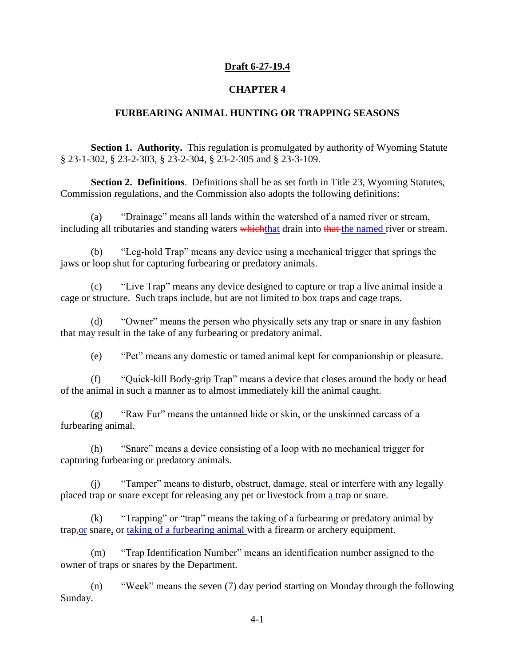### **Draft 6-27-19.4**

#### **CHAPTER 4**

#### **FURBEARING ANIMAL HUNTING OR TRAPPING SEASONS**

**Section 1. Authority.** This regulation is promulgated by authority of Wyoming Statute § 23-1-302, § 23-2-303, § 23-2-304, § 23-2-305 and § 23-3-109.

**Section 2. Definitions.** Definitions shall be as set forth in Title 23, Wyoming Statutes, Commission regulations, and the Commission also adopts the following definitions:

(a) "Drainage" means all lands within the watershed of a named river or stream, including all tributaries and standing waters which that drain into that the named river or stream.

(b) "Leg-hold Trap" means any device using a mechanical trigger that springs the jaws or loop shut for capturing furbearing or predatory animals.

(c) "Live Trap" means any device designed to capture or trap a live animal inside a cage or structure. Such traps include, but are not limited to box traps and cage traps.

(d) "Owner" means the person who physically sets any trap or snare in any fashion that may result in the take of any furbearing or predatory animal.

(e) "Pet" means any domestic or tamed animal kept for companionship or pleasure.

(f) "Quick-kill Body-grip Trap" means a device that closes around the body or head of the animal in such a manner as to almost immediately kill the animal caught.

 $(g)$  "Raw Fur" means the untanned hide or skin, or the unskinned carcass of a furbearing animal.

(h) "Snare" means a device consisting of a loop with no mechanical trigger for capturing furbearing or predatory animals.

(j) "Tamper" means to disturb, obstruct, damage, steal or interfere with any legally placed trap or snare except for releasing any pet or livestock from a trap or snare.

(k) "Trapping" or "trap" means the taking of a furbearing or predatory animal by trap,or snare, or taking of a furbearing animal with a firearm or archery equipment.

(m) "Trap Identification Number" means an identification number assigned to the owner of traps or snares by the Department.

(n) "Week" means the seven (7) day period starting on Monday through the following Sunday.

4-1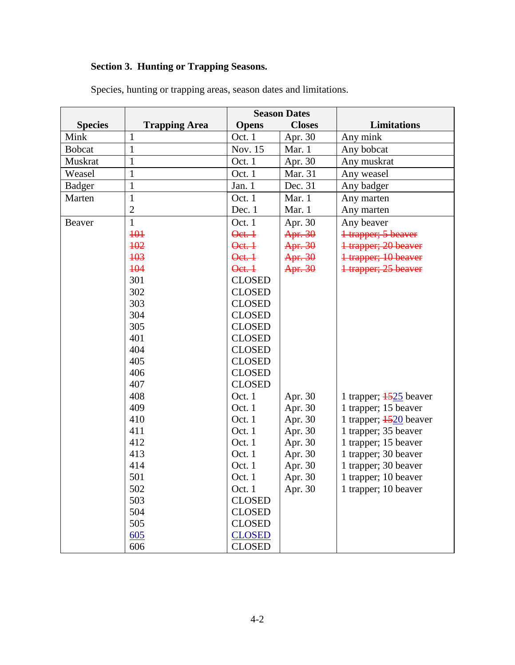# **Section 3. Hunting or Trapping Seasons.**

|                |                      | <b>Season Dates</b> |               |                                     |
|----------------|----------------------|---------------------|---------------|-------------------------------------|
| <b>Species</b> | <b>Trapping Area</b> | <b>Opens</b>        | <b>Closes</b> | <b>Limitations</b>                  |
| Mink           | 1                    | Oct. 1              | Apr. 30       | Any mink                            |
| <b>Bobcat</b>  | $\mathbf{1}$         | Nov. 15             | Mar. 1        | Any bobcat                          |
| Muskrat        | $\mathbf{1}$         | Oct. 1              | Apr. 30       | Any muskrat                         |
| Weasel         | $\mathbf{1}$         | Oct. 1              | Mar. 31       | Any weasel                          |
| <b>Badger</b>  | $\mathbf{1}$         | Jan. 1              | Dec. 31       | Any badger                          |
| Marten         | $\mathbf{1}$         | Oct. 1              | Mar. 1        | Any marten                          |
|                | $\overline{2}$       | Dec. 1              | Mar. 1        | Any marten                          |
| Beaver         | $\mathbf{1}$         | Oct. 1              | Apr. 30       | Any beaver                          |
|                | 101                  | $\theta$ et. $\pm$  | Apr. 30       | <del>1 trapper; 5 beaver</del>      |
|                | 102                  | $\theta$ et. $\pm$  | Apr. 30       | <del>1 trapper; 20 beaver</del>     |
|                | 103                  | Qet. 1              | Apr. 30       | <del>1 trapper; 10 beaver</del>     |
|                | 104                  | Oct. 1              | Apr. 30       | 1 trapper; 25 beaver                |
|                | 301                  | <b>CLOSED</b>       |               |                                     |
|                | 302                  | <b>CLOSED</b>       |               |                                     |
|                | 303                  | <b>CLOSED</b>       |               |                                     |
|                | 304                  | <b>CLOSED</b>       |               |                                     |
|                | 305                  | <b>CLOSED</b>       |               |                                     |
|                | 401                  | <b>CLOSED</b>       |               |                                     |
|                | 404                  | <b>CLOSED</b>       |               |                                     |
|                | 405                  | <b>CLOSED</b>       |               |                                     |
|                | 406                  | <b>CLOSED</b>       |               |                                     |
|                | 407                  | <b>CLOSED</b>       |               |                                     |
|                | 408                  | Oct. 1              | Apr. 30       | 1 trapper; $\frac{1525}{25}$ beaver |
|                | 409                  | Oct. 1              | Apr. 30       | 1 trapper; 15 beaver                |
|                | 410                  | Oct. 1              | Apr. 30       | 1 trapper; $\frac{1520}{20}$ beaver |
|                | 411                  | Oct. 1              | Apr. 30       | 1 trapper; 35 beaver                |
|                | 412                  | Oct. 1              | Apr. 30       | 1 trapper; 15 beaver                |
|                | 413                  | Oct. 1              | Apr. 30       | 1 trapper; 30 beaver                |
|                | 414                  | Oct. 1              | Apr. 30       | 1 trapper; 30 beaver                |
|                | 501                  | Oct. 1              | Apr. 30       | 1 trapper; 10 beaver                |
|                | 502                  | Oct. 1              | Apr. 30       | 1 trapper; 10 beaver                |
|                | 503                  | <b>CLOSED</b>       |               |                                     |
|                | 504                  | <b>CLOSED</b>       |               |                                     |
|                | 505                  | <b>CLOSED</b>       |               |                                     |
|                | 605                  | <b>CLOSED</b>       |               |                                     |
|                | 606                  | <b>CLOSED</b>       |               |                                     |

Species, hunting or trapping areas, season dates and limitations.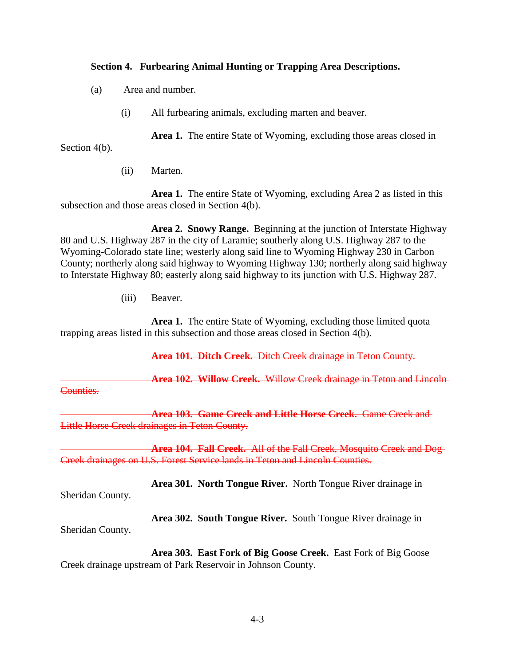### **Section 4. Furbearing Animal Hunting or Trapping Area Descriptions.**

- (a) Area and number.
	- (i) All furbearing animals, excluding marten and beaver.

**Area 1.** The entire State of Wyoming, excluding those areas closed in

Section 4(b).

(ii) Marten.

**Area 1.** The entire State of Wyoming, excluding Area 2 as listed in this subsection and those areas closed in Section 4(b).

**Area 2. Snowy Range.** Beginning at the junction of Interstate Highway 80 and U.S. Highway 287 in the city of Laramie; southerly along U.S. Highway 287 to the Wyoming-Colorado state line; westerly along said line to Wyoming Highway 230 in Carbon County; northerly along said highway to Wyoming Highway 130; northerly along said highway to Interstate Highway 80; easterly along said highway to its junction with U.S. Highway 287.

(iii) Beaver.

**Area 1.** The entire State of Wyoming, excluding those limited quota trapping areas listed in this subsection and those areas closed in Section 4(b).

**Area 101. Ditch Creek.** Ditch Creek drainage in Teton County.

**Area 102. Willow Creek.** Willow Creek drainage in Teton and Lincoln

Counties.

**Area 103. Game Creek and Little Horse Creek.** Game Creek and Little Horse Creek drainages in Teton County.

**Area 104. Fall Creek.** All of the Fall Creek, Mosquito Creek and Dog Creek drainages on U.S. Forest Service lands in Teton and Lincoln Counties.

**Area 301. North Tongue River.** North Tongue River drainage in

Sheridan County.

Sheridan County.

**Area 302. South Tongue River.** South Tongue River drainage in

**Area 303. East Fork of Big Goose Creek.** East Fork of Big Goose Creek drainage upstream of Park Reservoir in Johnson County.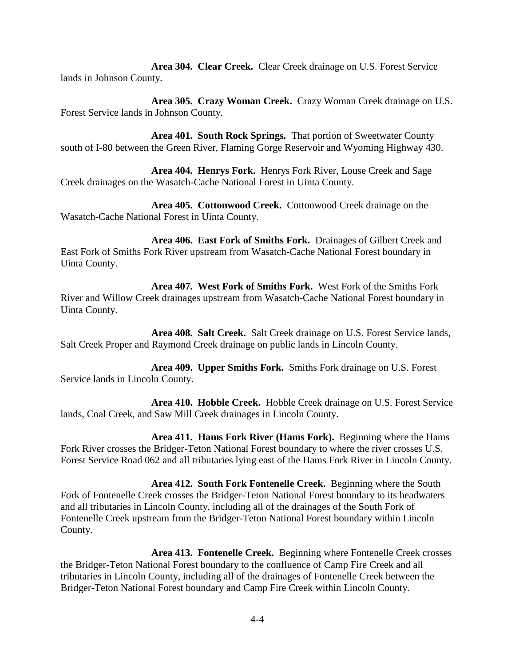**Area 304. Clear Creek.** Clear Creek drainage on U.S. Forest Service lands in Johnson County.

**Area 305. Crazy Woman Creek.** Crazy Woman Creek drainage on U.S. Forest Service lands in Johnson County.

**Area 401. South Rock Springs.** That portion of Sweetwater County south of I-80 between the Green River, Flaming Gorge Reservoir and Wyoming Highway 430.

**Area 404. Henrys Fork.** Henrys Fork River, Louse Creek and Sage Creek drainages on the Wasatch-Cache National Forest in Uinta County.

**Area 405. Cottonwood Creek.** Cottonwood Creek drainage on the Wasatch-Cache National Forest in Uinta County.

**Area 406. East Fork of Smiths Fork.** Drainages of Gilbert Creek and East Fork of Smiths Fork River upstream from Wasatch-Cache National Forest boundary in Uinta County.

**Area 407. West Fork of Smiths Fork.** West Fork of the Smiths Fork River and Willow Creek drainages upstream from Wasatch-Cache National Forest boundary in Uinta County.

**Area 408. Salt Creek.** Salt Creek drainage on U.S. Forest Service lands, Salt Creek Proper and Raymond Creek drainage on public lands in Lincoln County.

**Area 409. Upper Smiths Fork.** Smiths Fork drainage on U.S. Forest Service lands in Lincoln County.

**Area 410. Hobble Creek.** Hobble Creek drainage on U.S. Forest Service lands, Coal Creek, and Saw Mill Creek drainages in Lincoln County.

**Area 411. Hams Fork River (Hams Fork).** Beginning where the Hams Fork River crosses the Bridger-Teton National Forest boundary to where the river crosses U.S. Forest Service Road 062 and all tributaries lying east of the Hams Fork River in Lincoln County.

**Area 412. South Fork Fontenelle Creek.** Beginning where the South Fork of Fontenelle Creek crosses the Bridger-Teton National Forest boundary to its headwaters and all tributaries in Lincoln County, including all of the drainages of the South Fork of Fontenelle Creek upstream from the Bridger-Teton National Forest boundary within Lincoln County.

**Area 413. Fontenelle Creek.** Beginning where Fontenelle Creek crosses the Bridger-Teton National Forest boundary to the confluence of Camp Fire Creek and all tributaries in Lincoln County, including all of the drainages of Fontenelle Creek between the Bridger-Teton National Forest boundary and Camp Fire Creek within Lincoln County.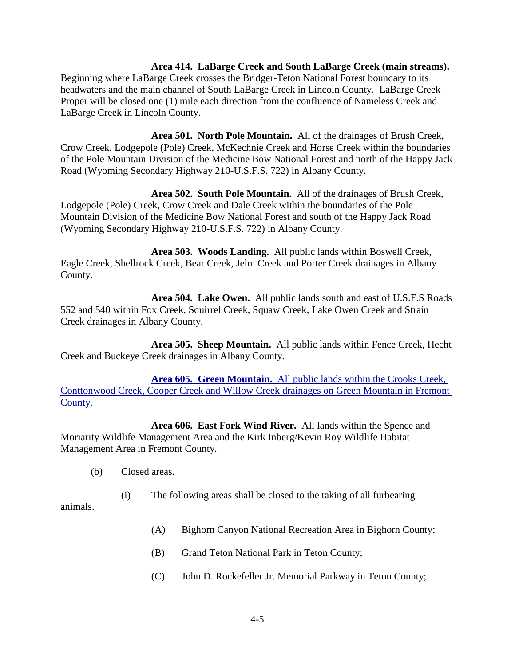#### **Area 414. LaBarge Creek and South LaBarge Creek (main streams).**

Beginning where LaBarge Creek crosses the Bridger-Teton National Forest boundary to its headwaters and the main channel of South LaBarge Creek in Lincoln County. LaBarge Creek Proper will be closed one (1) mile each direction from the confluence of Nameless Creek and LaBarge Creek in Lincoln County.

**Area 501. North Pole Mountain.** All of the drainages of Brush Creek, Crow Creek, Lodgepole (Pole) Creek, McKechnie Creek and Horse Creek within the boundaries of the Pole Mountain Division of the Medicine Bow National Forest and north of the Happy Jack Road (Wyoming Secondary Highway 210-U.S.F.S. 722) in Albany County.

**Area 502. South Pole Mountain.** All of the drainages of Brush Creek, Lodgepole (Pole) Creek, Crow Creek and Dale Creek within the boundaries of the Pole Mountain Division of the Medicine Bow National Forest and south of the Happy Jack Road (Wyoming Secondary Highway 210-U.S.F.S. 722) in Albany County.

**Area 503. Woods Landing.** All public lands within Boswell Creek, Eagle Creek, Shellrock Creek, Bear Creek, Jelm Creek and Porter Creek drainages in Albany County.

**Area 504. Lake Owen.** All public lands south and east of U.S.F.S Roads 552 and 540 within Fox Creek, Squirrel Creek, Squaw Creek, Lake Owen Creek and Strain Creek drainages in Albany County.

**Area 505. Sheep Mountain.** All public lands within Fence Creek, Hecht Creek and Buckeye Creek drainages in Albany County.

**Area 605. Green Mountain.** All public lands within the Crooks Creek, Conttonwood Creek, Cooper Creek and Willow Creek drainages on Green Mountain in Fremont County.

**Area 606. East Fork Wind River.** All lands within the Spence and Moriarity Wildlife Management Area and the Kirk Inberg/Kevin Roy Wildlife Habitat Management Area in Fremont County.

- (b) Closed areas.
	- (i) The following areas shall be closed to the taking of all furbearing

animals.

- (A) Bighorn Canyon National Recreation Area in Bighorn County;
- (B) Grand Teton National Park in Teton County;
- (C) John D. Rockefeller Jr. Memorial Parkway in Teton County;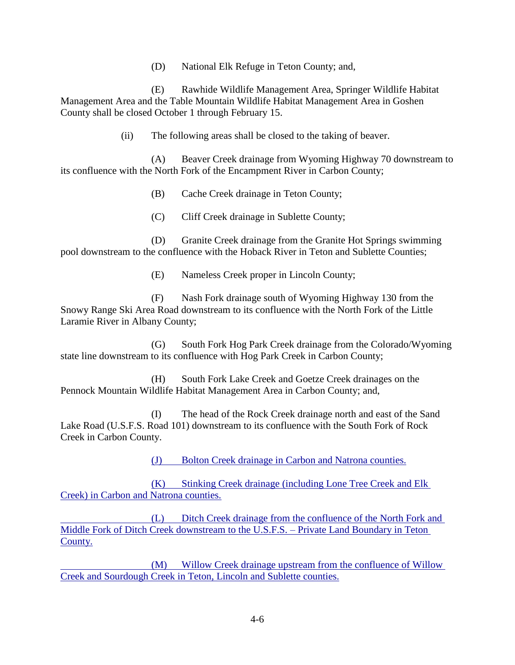(D) National Elk Refuge in Teton County; and,

(E) Rawhide Wildlife Management Area, Springer Wildlife Habitat Management Area and the Table Mountain Wildlife Habitat Management Area in Goshen County shall be closed October 1 through February 15.

(ii) The following areas shall be closed to the taking of beaver.

(A) Beaver Creek drainage from Wyoming Highway 70 downstream to its confluence with the North Fork of the Encampment River in Carbon County;

(B) Cache Creek drainage in Teton County;

(C) Cliff Creek drainage in Sublette County;

(D) Granite Creek drainage from the Granite Hot Springs swimming pool downstream to the confluence with the Hoback River in Teton and Sublette Counties;

(E) Nameless Creek proper in Lincoln County;

(F) Nash Fork drainage south of Wyoming Highway 130 from the Snowy Range Ski Area Road downstream to its confluence with the North Fork of the Little Laramie River in Albany County;

(G) South Fork Hog Park Creek drainage from the Colorado/Wyoming state line downstream to its confluence with Hog Park Creek in Carbon County;

(H) South Fork Lake Creek and Goetze Creek drainages on the Pennock Mountain Wildlife Habitat Management Area in Carbon County; and,

(I) The head of the Rock Creek drainage north and east of the Sand Lake Road (U.S.F.S. Road 101) downstream to its confluence with the South Fork of Rock Creek in Carbon County.

(J) Bolton Creek drainage in Carbon and Natrona counties.

(K) Stinking Creek drainage (including Lone Tree Creek and Elk Creek) in Carbon and Natrona counties.

(L) Ditch Creek drainage from the confluence of the North Fork and Middle Fork of Ditch Creek downstream to the U.S.F.S. – Private Land Boundary in Teton County.

(M) Willow Creek drainage upstream from the confluence of Willow Creek and Sourdough Creek in Teton, Lincoln and Sublette counties.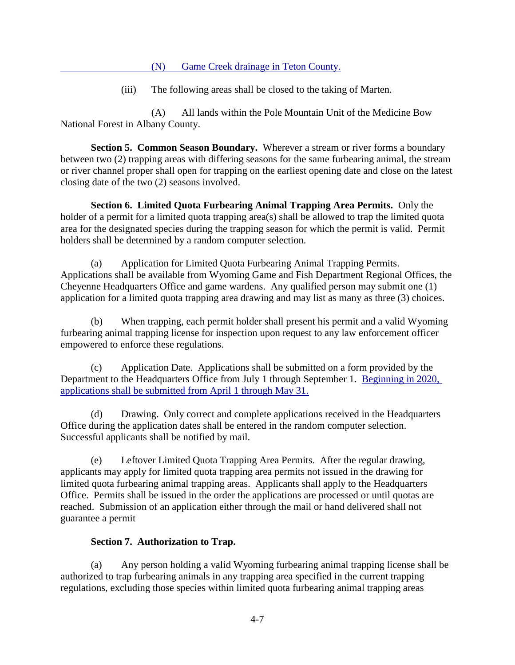(N) Game Creek drainage in Teton County.

(iii) The following areas shall be closed to the taking of Marten.

(A) All lands within the Pole Mountain Unit of the Medicine Bow National Forest in Albany County.

**Section 5. Common Season Boundary.** Wherever a stream or river forms a boundary between two (2) trapping areas with differing seasons for the same furbearing animal, the stream or river channel proper shall open for trapping on the earliest opening date and close on the latest closing date of the two (2) seasons involved.

**Section 6. Limited Quota Furbearing Animal Trapping Area Permits.** Only the holder of a permit for a limited quota trapping area(s) shall be allowed to trap the limited quota area for the designated species during the trapping season for which the permit is valid. Permit holders shall be determined by a random computer selection.

(a) Application for Limited Quota Furbearing Animal Trapping Permits. Applications shall be available from Wyoming Game and Fish Department Regional Offices, the Cheyenne Headquarters Office and game wardens. Any qualified person may submit one (1) application for a limited quota trapping area drawing and may list as many as three (3) choices.

(b) When trapping, each permit holder shall present his permit and a valid Wyoming furbearing animal trapping license for inspection upon request to any law enforcement officer empowered to enforce these regulations.

(c) Application Date. Applications shall be submitted on a form provided by the Department to the Headquarters Office from July 1 through September 1. Beginning in 2020, applications shall be submitted from April 1 through May 31.

(d) Drawing. Only correct and complete applications received in the Headquarters Office during the application dates shall be entered in the random computer selection. Successful applicants shall be notified by mail.

(e) Leftover Limited Quota Trapping Area Permits. After the regular drawing, applicants may apply for limited quota trapping area permits not issued in the drawing for limited quota furbearing animal trapping areas. Applicants shall apply to the Headquarters Office. Permits shall be issued in the order the applications are processed or until quotas are reached. Submission of an application either through the mail or hand delivered shall not guarantee a permit

## **Section 7. Authorization to Trap.**

(a) Any person holding a valid Wyoming furbearing animal trapping license shall be authorized to trap furbearing animals in any trapping area specified in the current trapping regulations, excluding those species within limited quota furbearing animal trapping areas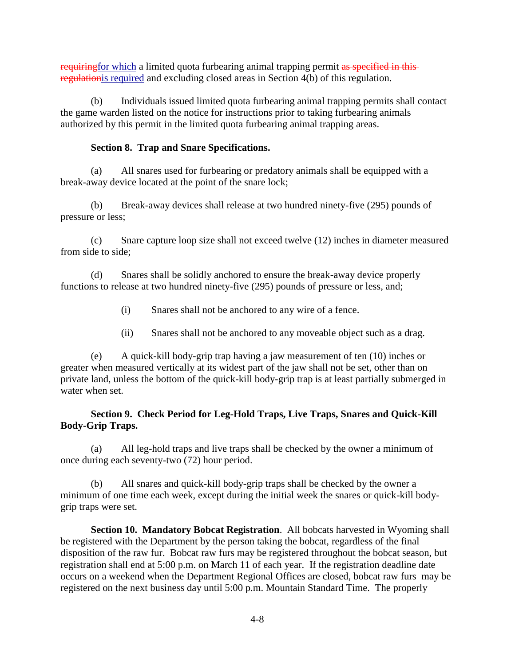requiring for which a limited quota furbearing animal trapping permit as specified in thisregulationis required and excluding closed areas in Section 4(b) of this regulation.

(b) Individuals issued limited quota furbearing animal trapping permits shall contact the game warden listed on the notice for instructions prior to taking furbearing animals authorized by this permit in the limited quota furbearing animal trapping areas.

## **Section 8. Trap and Snare Specifications.**

(a) All snares used for furbearing or predatory animals shall be equipped with a break-away device located at the point of the snare lock;

(b) Break-away devices shall release at two hundred ninety-five (295) pounds of pressure or less;

(c) Snare capture loop size shall not exceed twelve (12) inches in diameter measured from side to side;

(d) Snares shall be solidly anchored to ensure the break-away device properly functions to release at two hundred ninety-five (295) pounds of pressure or less, and;

- (i) Snares shall not be anchored to any wire of a fence.
- (ii) Snares shall not be anchored to any moveable object such as a drag.

(e) A quick-kill body-grip trap having a jaw measurement of ten (10) inches or greater when measured vertically at its widest part of the jaw shall not be set, other than on private land, unless the bottom of the quick-kill body-grip trap is at least partially submerged in water when set.

## **Section 9. Check Period for Leg-Hold Traps, Live Traps, Snares and Quick-Kill Body-Grip Traps.**

(a) All leg-hold traps and live traps shall be checked by the owner a minimum of once during each seventy-two (72) hour period.

(b) All snares and quick-kill body-grip traps shall be checked by the owner a minimum of one time each week, except during the initial week the snares or quick-kill bodygrip traps were set.

**Section 10. Mandatory Bobcat Registration**. All bobcats harvested in Wyoming shall be registered with the Department by the person taking the bobcat, regardless of the final disposition of the raw fur. Bobcat raw furs may be registered throughout the bobcat season, but registration shall end at 5:00 p.m. on March 11 of each year. If the registration deadline date occurs on a weekend when the Department Regional Offices are closed, bobcat raw furs may be registered on the next business day until 5:00 p.m. Mountain Standard Time. The properly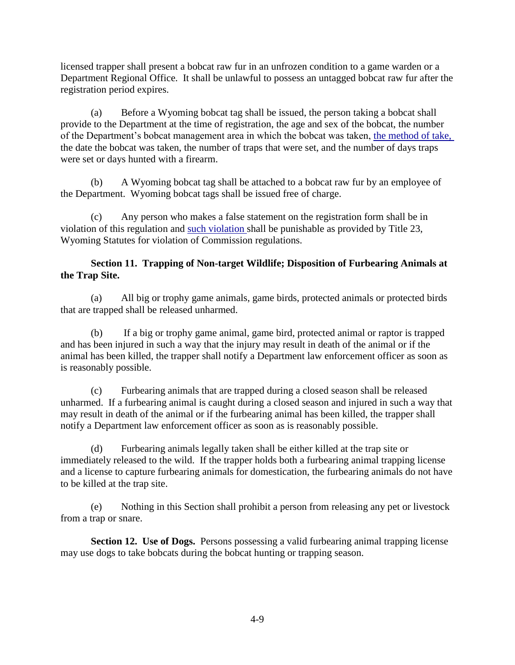licensed trapper shall present a bobcat raw fur in an unfrozen condition to a game warden or a Department Regional Office. It shall be unlawful to possess an untagged bobcat raw fur after the registration period expires.

(a) Before a Wyoming bobcat tag shall be issued, the person taking a bobcat shall provide to the Department at the time of registration, the age and sex of the bobcat, the number of the Department's bobcat management area in which the bobcat was taken, the method of take, the date the bobcat was taken, the number of traps that were set, and the number of days traps were set or days hunted with a firearm.

(b) A Wyoming bobcat tag shall be attached to a bobcat raw fur by an employee of the Department. Wyoming bobcat tags shall be issued free of charge.

(c) Any person who makes a false statement on the registration form shall be in violation of this regulation and such violation shall be punishable as provided by Title 23, Wyoming Statutes for violation of Commission regulations.

## **Section 11. Trapping of Non-target Wildlife; Disposition of Furbearing Animals at the Trap Site.**

(a) All big or trophy game animals, game birds, protected animals or protected birds that are trapped shall be released unharmed.

(b) If a big or trophy game animal, game bird, protected animal or raptor is trapped and has been injured in such a way that the injury may result in death of the animal or if the animal has been killed, the trapper shall notify a Department law enforcement officer as soon as is reasonably possible.

(c) Furbearing animals that are trapped during a closed season shall be released unharmed. If a furbearing animal is caught during a closed season and injured in such a way that may result in death of the animal or if the furbearing animal has been killed, the trapper shall notify a Department law enforcement officer as soon as is reasonably possible.

(d) Furbearing animals legally taken shall be either killed at the trap site or immediately released to the wild. If the trapper holds both a furbearing animal trapping license and a license to capture furbearing animals for domestication, the furbearing animals do not have to be killed at the trap site.

(e) Nothing in this Section shall prohibit a person from releasing any pet or livestock from a trap or snare.

**Section 12. Use of Dogs.** Persons possessing a valid furbearing animal trapping license may use dogs to take bobcats during the bobcat hunting or trapping season.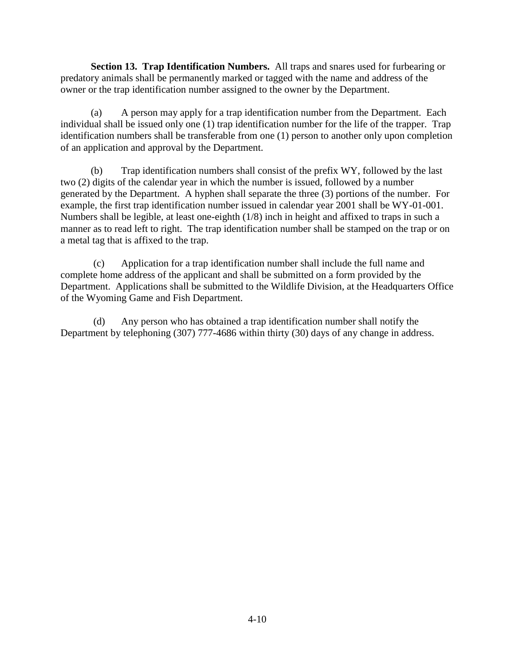**Section 13. Trap Identification Numbers.** All traps and snares used for furbearing or predatory animals shall be permanently marked or tagged with the name and address of the owner or the trap identification number assigned to the owner by the Department.

(a) A person may apply for a trap identification number from the Department. Each individual shall be issued only one (1) trap identification number for the life of the trapper. Trap identification numbers shall be transferable from one (1) person to another only upon completion of an application and approval by the Department.

(b) Trap identification numbers shall consist of the prefix WY, followed by the last two (2) digits of the calendar year in which the number is issued, followed by a number generated by the Department. A hyphen shall separate the three (3) portions of the number. For example, the first trap identification number issued in calendar year 2001 shall be WY-01-001. Numbers shall be legible, at least one-eighth (1/8) inch in height and affixed to traps in such a manner as to read left to right. The trap identification number shall be stamped on the trap or on a metal tag that is affixed to the trap.

 (c) Application for a trap identification number shall include the full name and complete home address of the applicant and shall be submitted on a form provided by the Department. Applications shall be submitted to the Wildlife Division, at the Headquarters Office of the Wyoming Game and Fish Department.

 (d) Any person who has obtained a trap identification number shall notify the Department by telephoning (307) 777-4686 within thirty (30) days of any change in address.